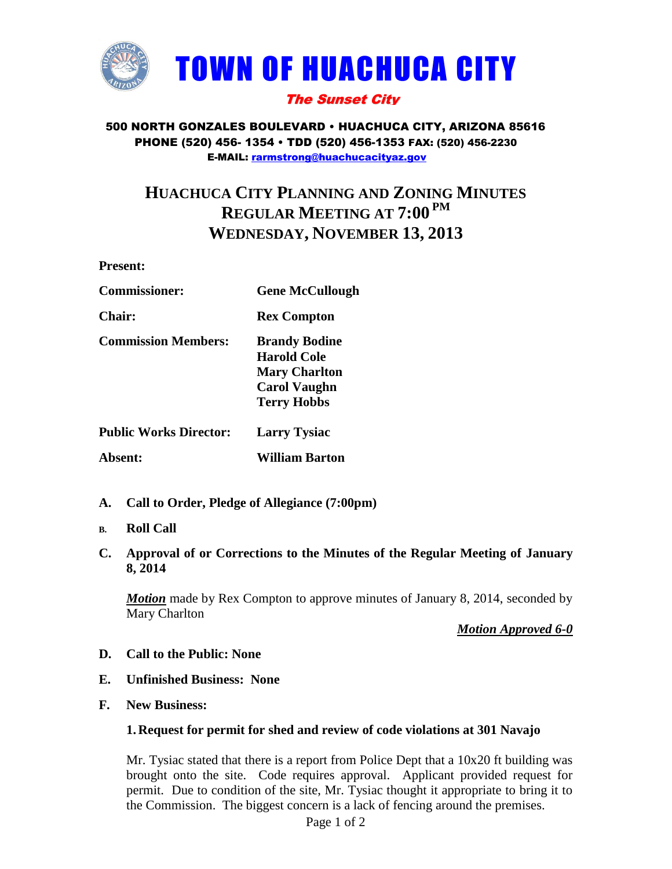

### 500 NORTH GONZALES BOULEVARD • HUACHUCA CITY, ARIZONA 85616 PHONE (520) 456- 1354 • TDD (520) 456-1353 FAX: (520) 456-2230 E-MAIL: [rarmstrong@huachucacityaz.gov](mailto:rarmstrong@huachucacityaz.gov)

# **HUACHUCA CITY PLANNING AND ZONING MINUTES REGULAR MEETING AT 7:00 PM WEDNESDAY, NOVEMBER 13, 2013**

**Present:**

| <b>Commissioner:</b> | <b>Gene McCullough</b> |
|----------------------|------------------------|
|                      |                        |

**Chair: Rex Compton**

**Commission Members: Brandy Bodine**

**Harold Cole Mary Charlton Carol Vaughn Terry Hobbs**

**Public Works Director: Larry Tysiac**

**Absent: William Barton**

- **A. Call to Order, Pledge of Allegiance (7:00pm)**
- **B. Roll Call**
- **C. Approval of or Corrections to the Minutes of the Regular Meeting of January 8, 2014**

*Motion* made by Rex Compton to approve minutes of January 8, 2014, seconded by Mary Charlton

*Motion Approved 6-0*

- **D. Call to the Public: None**
- **E. Unfinished Business: None**
- **F. New Business:**

### **1. Request for permit for shed and review of code violations at 301 Navajo**

Mr. Tysiac stated that there is a report from Police Dept that a 10x20 ft building was brought onto the site. Code requires approval. Applicant provided request for permit. Due to condition of the site, Mr. Tysiac thought it appropriate to bring it to the Commission. The biggest concern is a lack of fencing around the premises.

Page 1 of 2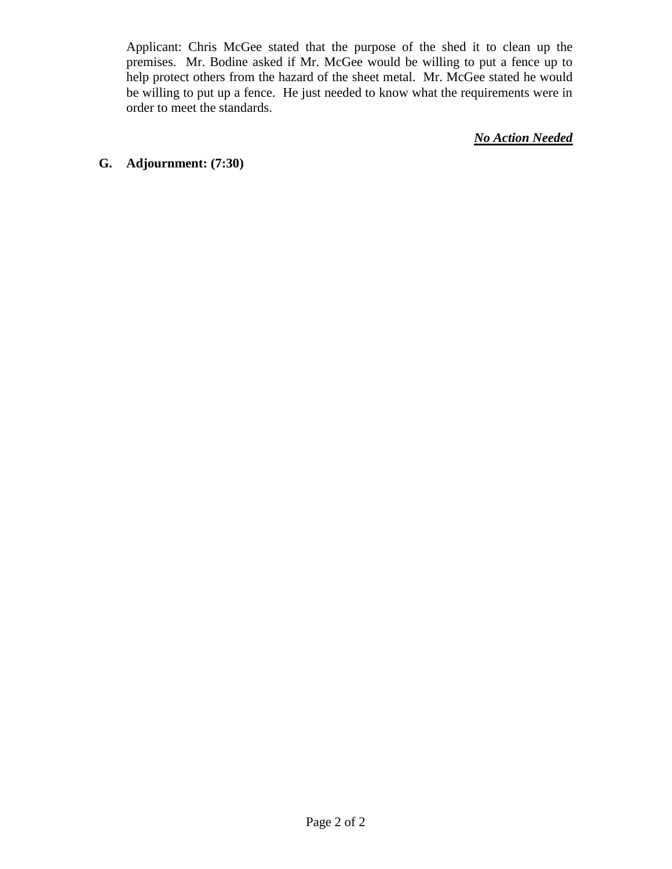Applicant: Chris McGee stated that the purpose of the shed it to clean up the premises. Mr. Bodine asked if Mr. McGee would be willing to put a fence up to help protect others from the hazard of the sheet metal. Mr. McGee stated he would be willing to put up a fence. He just needed to know what the requirements were in order to meet the standards.

*No Action Needed*

### **G. Adjournment: (7:30)**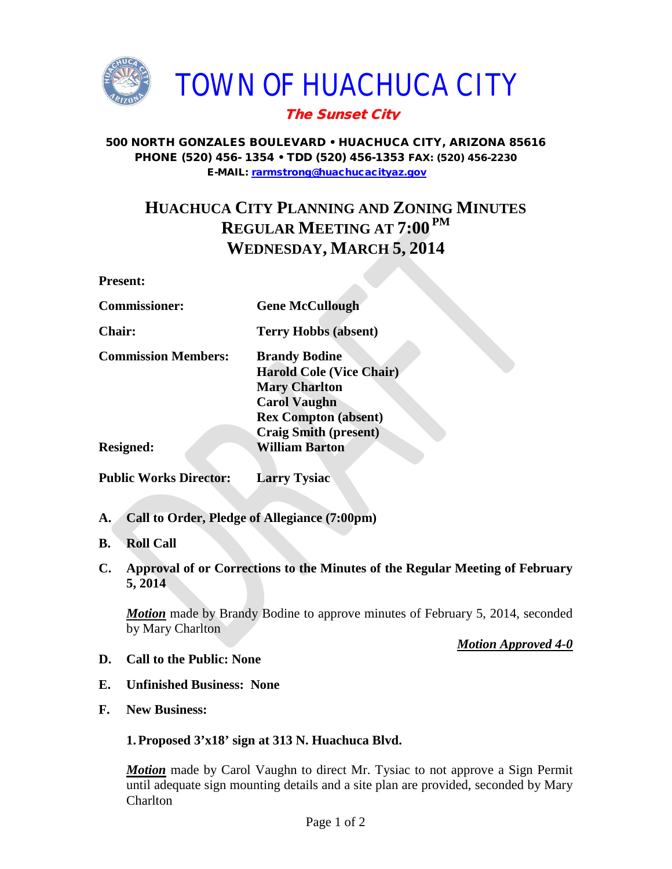

### 500 NORTH GONZALES BOULEVARD • HUACHUCA CITY, ARIZONA 85616 PHONE (520) 456- 1354 • TDD (520) 456-1353 FAX: (520) 456-2230 E-MAIL: [rarmstrong@huachucacityaz.gov](mailto:rarmstrong@huachucacityaz.gov)

# **HUACHUCA CITY PLANNING AND ZONING MINUTES REGULAR MEETING AT 7:00 PM WEDNESDAY, MARCH 5, 2014**

### **Present:**

| <b>Commissioner:</b>          | <b>Gene McCullough</b>          |
|-------------------------------|---------------------------------|
| <b>Chair:</b>                 | <b>Terry Hobbs (absent)</b>     |
| <b>Commission Members:</b>    | <b>Brandy Bodine</b>            |
|                               | <b>Harold Cole (Vice Chair)</b> |
|                               | <b>Mary Charlton</b>            |
|                               | <b>Carol Vaughn</b>             |
|                               | <b>Rex Compton (absent)</b>     |
|                               | <b>Craig Smith (present)</b>    |
| <b>Resigned:</b>              | <b>William Barton</b>           |
| <b>Public Works Director:</b> | <b>Larry Tysiac</b>             |

- 
- **A. Call to Order, Pledge of Allegiance (7:00pm)**
- **B. Roll Call**
- **C. Approval of or Corrections to the Minutes of the Regular Meeting of February 5, 2014**

*Motion* made by Brandy Bodine to approve minutes of February 5, 2014, seconded by Mary Charlton

### *Motion Approved 4-0*

- **D. Call to the Public: None**
- **E. Unfinished Business: None**
- **F. New Business:**

## **1.Proposed 3'x18' sign at 313 N. Huachuca Blvd.**

**Motion** made by Carol Vaughn to direct Mr. Tysiac to not approve a Sign Permit until adequate sign mounting details and a site plan are provided, seconded by Mary Charlton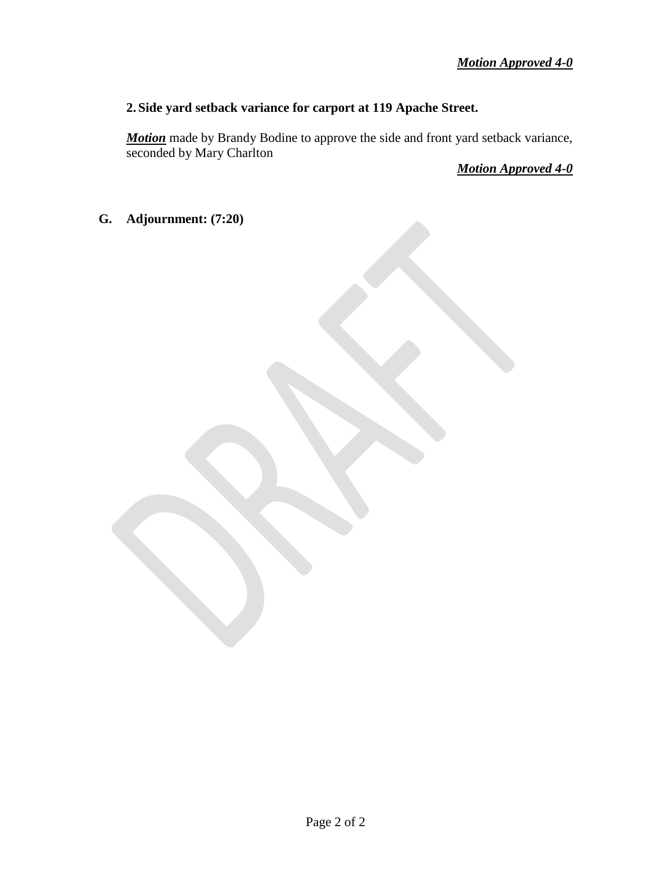## **2. Side yard setback variance for carport at 119 Apache Street.**

*Motion* made by Brandy Bodine to approve the side and front yard setback variance, seconded by Mary Charlton

*Motion Approved 4-0*

**G. Adjournment: (7:20)**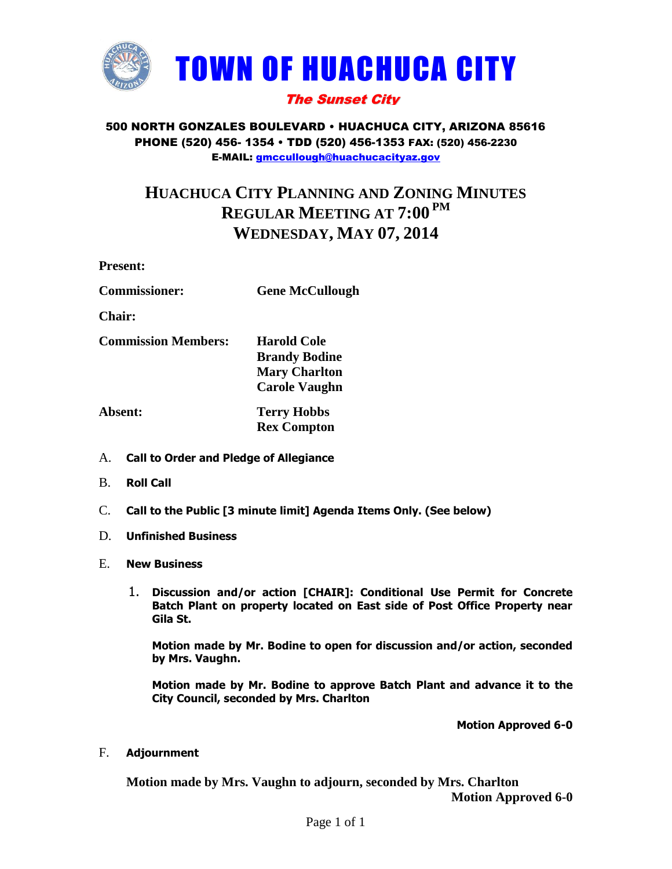

### 500 NORTH GONZALES BOULEVARD • HUACHUCA CITY, ARIZONA 85616 PHONE (520) 456- 1354 • TDD (520) 456-1353 FAX: (520) 456-2230 E-MAIL: [gmccullough@huachucacityaz.gov](mailto:gmccullough@huachucacityaz.gov)

# **HUACHUCA CITY PLANNING AND ZONING MINUTES REGULAR MEETING AT 7:00 PM WEDNESDAY, MAY 07, 2014**

**Present:**

| <b>Commissioner:</b> | <b>Gene McCullough</b> |
|----------------------|------------------------|
|                      |                        |

**Chair:**

**Commission Members: Harold Cole**

**Brandy Bodine Mary Charlton Carole Vaughn**

**Absent: Terry Hobbs Rex Compton**

- A. **Call to Order and Pledge of Allegiance**
- B. **Roll Call**
- C. **Call to the Public [3 minute limit] Agenda Items Only. (See below)**
- D. **Unfinished Business**
- E. **New Business**
	- 1. **Discussion and/or action [CHAIR]: Conditional Use Permit for Concrete Batch Plant on property located on East side of Post Office Property near Gila St.**

**Motion made by Mr. Bodine to open for discussion and/or action, seconded by Mrs. Vaughn.**

**Motion made by Mr. Bodine to approve Batch Plant and advance it to the City Council, seconded by Mrs. Charlton**

**Motion Approved 6-0**

F. **Adjournment**

**Motion made by Mrs. Vaughn to adjourn, seconded by Mrs. Charlton Motion Approved 6-0**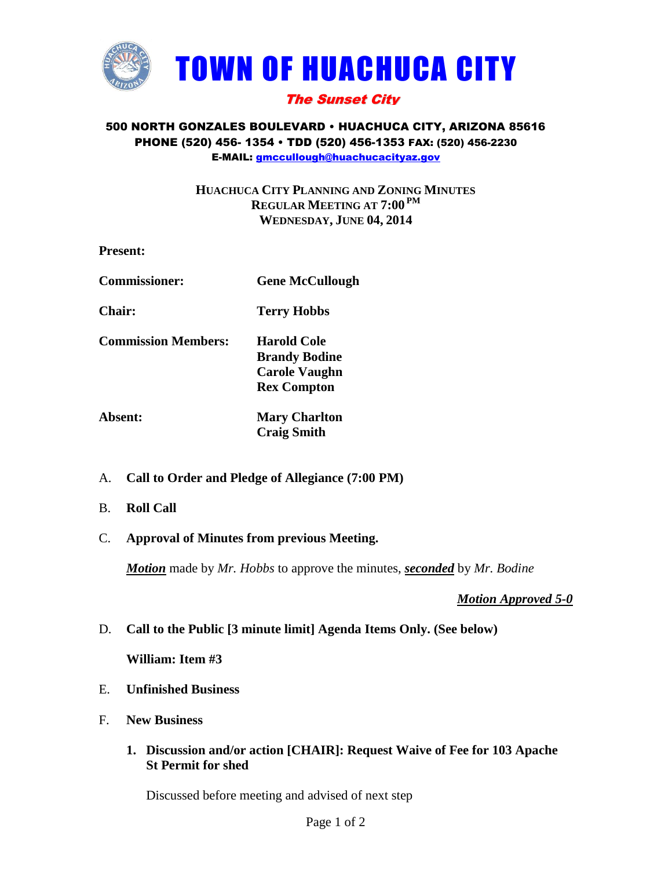

### 500 NORTH GONZALES BOULEVARD • HUACHUCA CITY, ARIZONA 85616 PHONE (520) 456- 1354 • TDD (520) 456-1353 FAX: (520) 456-2230 E-MAIL: [gmccullough@huachucacityaz.gov](mailto:gmccullough@huachucacityaz.gov)

## **HUACHUCA CITY PLANNING AND ZONING MINUTES REGULAR MEETING AT 7:00 PM WEDNESDAY, JUNE 04, 2014**

| <b>Present:</b>            |                                                                                          |
|----------------------------|------------------------------------------------------------------------------------------|
| <b>Commissioner:</b>       | <b>Gene McCullough</b>                                                                   |
| Chair:                     | <b>Terry Hobbs</b>                                                                       |
| <b>Commission Members:</b> | <b>Harold Cole</b><br><b>Brandy Bodine</b><br><b>Carole Vaughn</b><br><b>Rex Compton</b> |
| Absent:                    | <b>Mary Charlton</b>                                                                     |

- **Craig Smith**
- A. **Call to Order and Pledge of Allegiance (7:00 PM)**
- B. **Roll Call**
- C. **Approval of Minutes from previous Meeting.**

*Motion* made by *Mr. Hobbs* to approve the minutes, *seconded* by *Mr. Bodine*

*Motion Approved 5-0*

D. **Call to the Public [3 minute limit] Agenda Items Only. (See below)**

**William: Item #3**

- E. **Unfinished Business**
- F. **New Business**
	- **1. Discussion and/or action [CHAIR]: Request Waive of Fee for 103 Apache St Permit for shed**

Discussed before meeting and advised of next step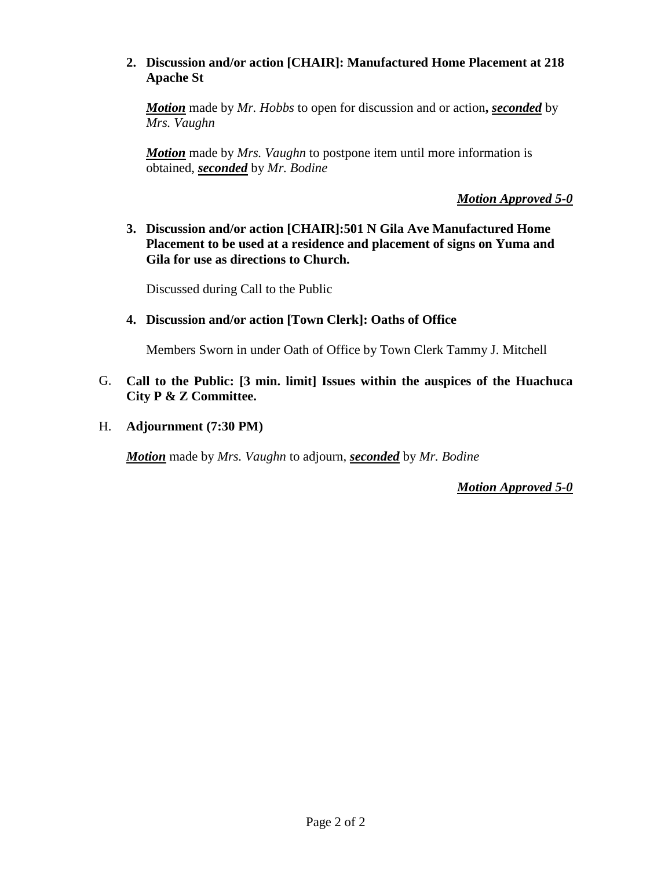## **2. Discussion and/or action [CHAIR]: Manufactured Home Placement at 218 Apache St**

*Motion* made by *Mr. Hobbs* to open for discussion and or action**,** *seconded* by *Mrs. Vaughn*

*Motion* made by *Mrs. Vaughn* to postpone item until more information is obtained, *seconded* by *Mr. Bodine*

*Motion Approved 5-0*

**3. Discussion and/or action [CHAIR]:501 N Gila Ave Manufactured Home Placement to be used at a residence and placement of signs on Yuma and Gila for use as directions to Church.**

Discussed during Call to the Public

### **4. Discussion and/or action [Town Clerk]: Oaths of Office**

Members Sworn in under Oath of Office by Town Clerk Tammy J. Mitchell

- G. **Call to the Public: [3 min. limit] Issues within the auspices of the Huachuca City P & Z Committee.**
- H. **Adjournment (7:30 PM)**

*Motion* made by *Mrs. Vaughn* to adjourn, *seconded* by *Mr. Bodine*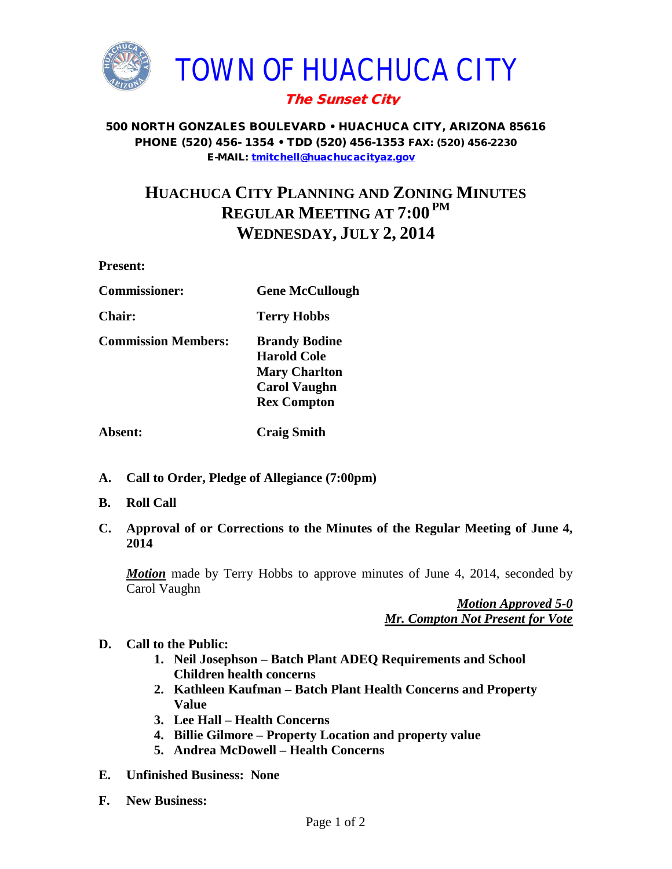

500 NORTH GONZALES BOULEVARD • HUACHUCA CITY, ARIZONA 85616 PHONE (520) 456- 1354 • TDD (520) 456-1353 FAX: (520) 456-2230 E-MAIL: [tmitchell@huachucacityaz.gov](mailto:tmitchell@huachucacityaz.gov)

# **HUACHUCA CITY PLANNING AND ZONING MINUTES REGULAR MEETING AT 7:00 PM WEDNESDAY, JULY 2, 2014**

**Present:**

| <b>Gene McCullough</b> |
|------------------------|
|                        |

**Chair: Terry Hobbs**

**Commission Members: Brandy Bodine**

**Harold Cole Mary Charlton Carol Vaughn Rex Compton**

**Absent: Craig Smith**

- **A. Call to Order, Pledge of Allegiance (7:00pm)**
- **B. Roll Call**
- **C. Approval of or Corrections to the Minutes of the Regular Meeting of June 4, 2014**

*Motion* made by Terry Hobbs to approve minutes of June 4, 2014, seconded by Carol Vaughn

> *Motion Approved 5-0 Mr. Compton Not Present for Vote*

- **D. Call to the Public:** 
	- **1. Neil Josephson – Batch Plant ADEQ Requirements and School Children health concerns**
	- **2. Kathleen Kaufman – Batch Plant Health Concerns and Property Value**
	- **3. Lee Hall – Health Concerns**
	- **4. Billie Gilmore – Property Location and property value**
	- **5. Andrea McDowell – Health Concerns**
- **E. Unfinished Business: None**
- **F. New Business:**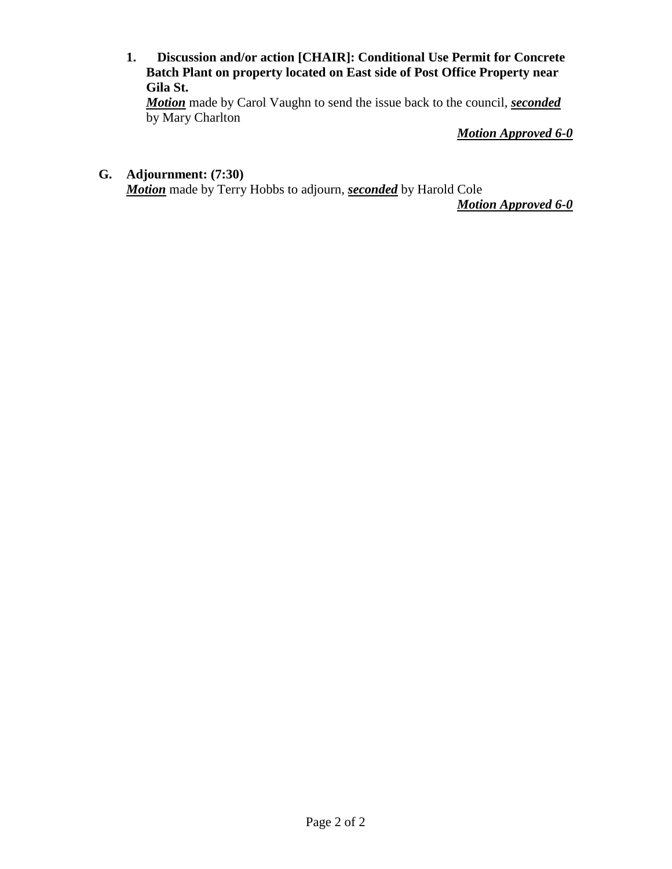**1. Discussion and/or action [CHAIR]: Conditional Use Permit for Concrete Batch Plant on property located on East side of Post Office Property near Gila St.**

*Motion* made by Carol Vaughn to send the issue back to the council, *seconded* by Mary Charlton

*Motion Approved 6-0*

# **G. Adjournment: (7:30)**

*Motion* made by Terry Hobbs to adjourn, *seconded* by Harold Cole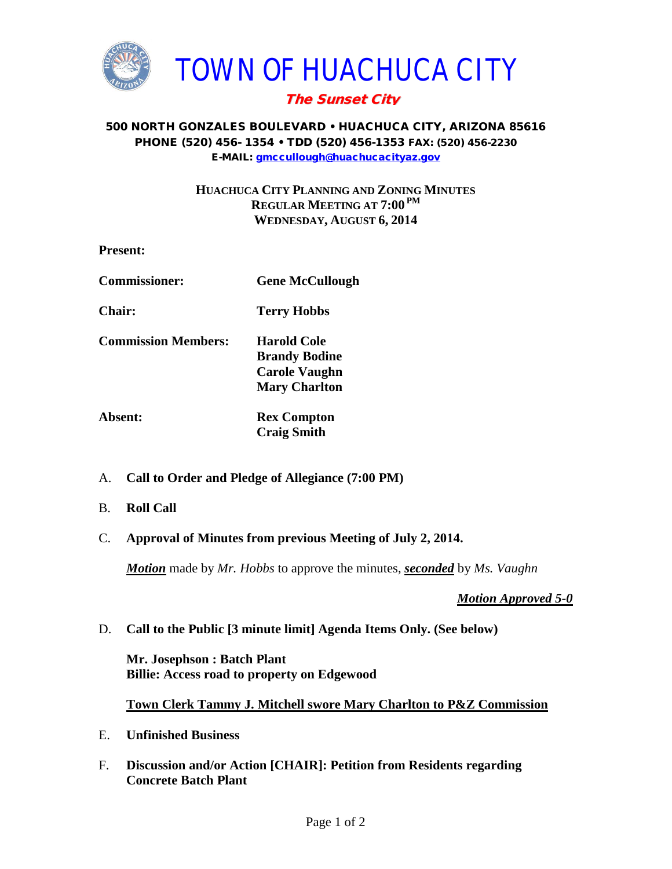

### 500 NORTH GONZALES BOULEVARD • HUACHUCA CITY, ARIZONA 85616 PHONE (520) 456- 1354 • TDD (520) 456-1353 FAX: (520) 456-2230 E-MAIL: [gmccullough@huachucacityaz.gov](mailto:gmccullough@huachucacityaz.gov)

## **HUACHUCA CITY PLANNING AND ZONING MINUTES REGULAR MEETING AT 7:00 PM WEDNESDAY, AUGUST 6, 2014**

| <b>Present:</b>            |                                                                                     |
|----------------------------|-------------------------------------------------------------------------------------|
| <b>Commissioner:</b>       | <b>Gene McCullough</b>                                                              |
| Chair:                     | <b>Terry Hobbs</b>                                                                  |
| <b>Commission Members:</b> | Harold Cole<br><b>Brandy Bodine</b><br><b>Carole Vaughn</b><br><b>Mary Charlton</b> |
| Absent:                    | <b>Rex Compton</b><br><b>Craig Smith</b>                                            |

- A. **Call to Order and Pledge of Allegiance (7:00 PM)**
- B. **Roll Call**
- C. **Approval of Minutes from previous Meeting of July 2, 2014.**

*Motion* made by *Mr. Hobbs* to approve the minutes, *seconded* by *Ms. Vaughn*

*Motion Approved 5-0*

D. **Call to the Public [3 minute limit] Agenda Items Only. (See below)**

**Mr. Josephson : Batch Plant Billie: Access road to property on Edgewood**

### **Town Clerk Tammy J. Mitchell swore Mary Charlton to P&Z Commission**

- E. **Unfinished Business**
- F. **Discussion and/or Action [CHAIR]: Petition from Residents regarding Concrete Batch Plant**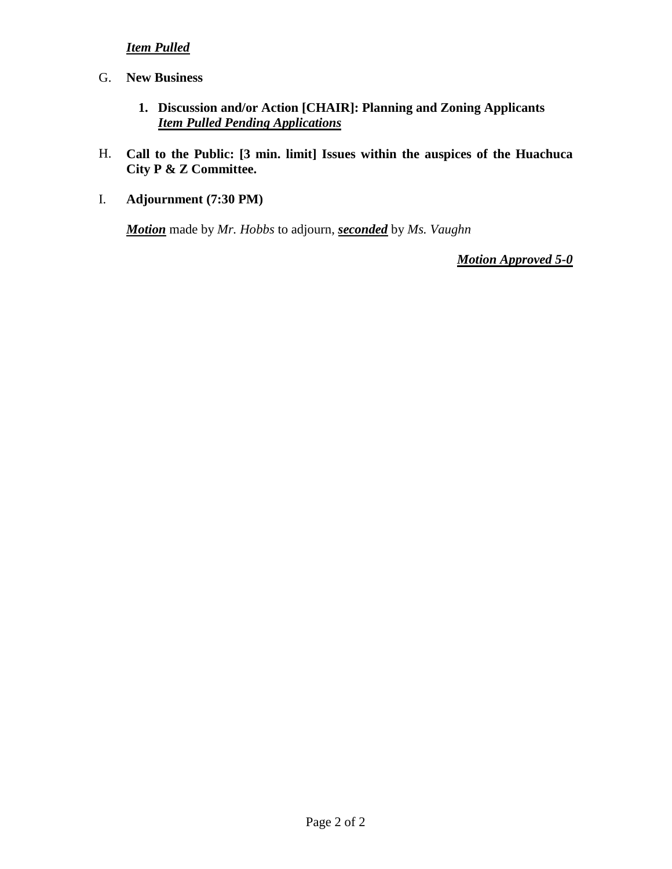# *Item Pulled*

- G. **New Business**
	- **1. Discussion and/or Action [CHAIR]: Planning and Zoning Applicants** *Item Pulled Pending Applications*
- H. **Call to the Public: [3 min. limit] Issues within the auspices of the Huachuca City P & Z Committee.**
- I. **Adjournment (7:30 PM)**

*Motion* made by *Mr. Hobbs* to adjourn, *seconded* by *Ms. Vaughn*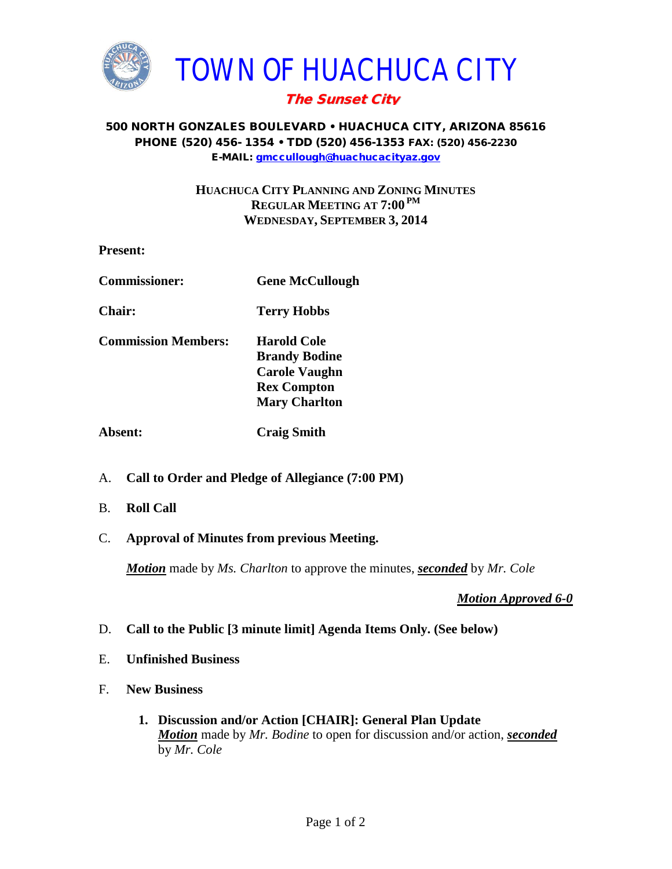

### 500 NORTH GONZALES BOULEVARD • HUACHUCA CITY, ARIZONA 85616 PHONE (520) 456- 1354 • TDD (520) 456-1353 FAX: (520) 456-2230 E-MAIL: [gmccullough@huachucacityaz.gov](mailto:gmccullough@huachucacityaz.gov)

## **HUACHUCA CITY PLANNING AND ZONING MINUTES REGULAR MEETING AT 7:00 PM WEDNESDAY, SEPTEMBER 3, 2014**

| <b>Present:</b>            |                                                                                                                  |  |
|----------------------------|------------------------------------------------------------------------------------------------------------------|--|
| <b>Commissioner:</b>       | <b>Gene McCullough</b>                                                                                           |  |
| <b>Chair:</b>              | <b>Terry Hobbs</b>                                                                                               |  |
| <b>Commission Members:</b> | <b>Harold Cole</b><br><b>Brandy Bodine</b><br><b>Carole Vaughn</b><br><b>Rex Compton</b><br><b>Mary Charlton</b> |  |
| <b>Absent:</b>             | <b>Craig Smith</b>                                                                                               |  |

- A. **Call to Order and Pledge of Allegiance (7:00 PM)**
- B. **Roll Call**
- C. **Approval of Minutes from previous Meeting.**

*Motion* made by *Ms. Charlton* to approve the minutes, *seconded* by *Mr. Cole*

- D. **Call to the Public [3 minute limit] Agenda Items Only. (See below)**
- E. **Unfinished Business**
- F. **New Business**
	- **1. Discussion and/or Action [CHAIR]: General Plan Update** *Motion* made by *Mr. Bodine* to open for discussion and/or action, *seconded* by *Mr. Cole*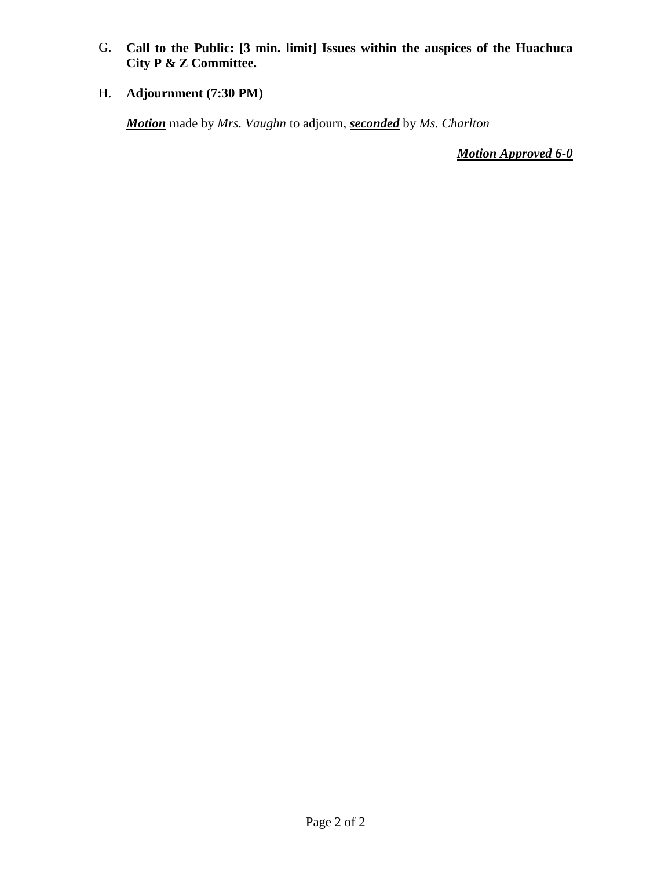G. **Call to the Public: [3 min. limit] Issues within the auspices of the Huachuca City P & Z Committee.**

# H. **Adjournment (7:30 PM)**

*Motion* made by *Mrs. Vaughn* to adjourn, *seconded* by *Ms. Charlton*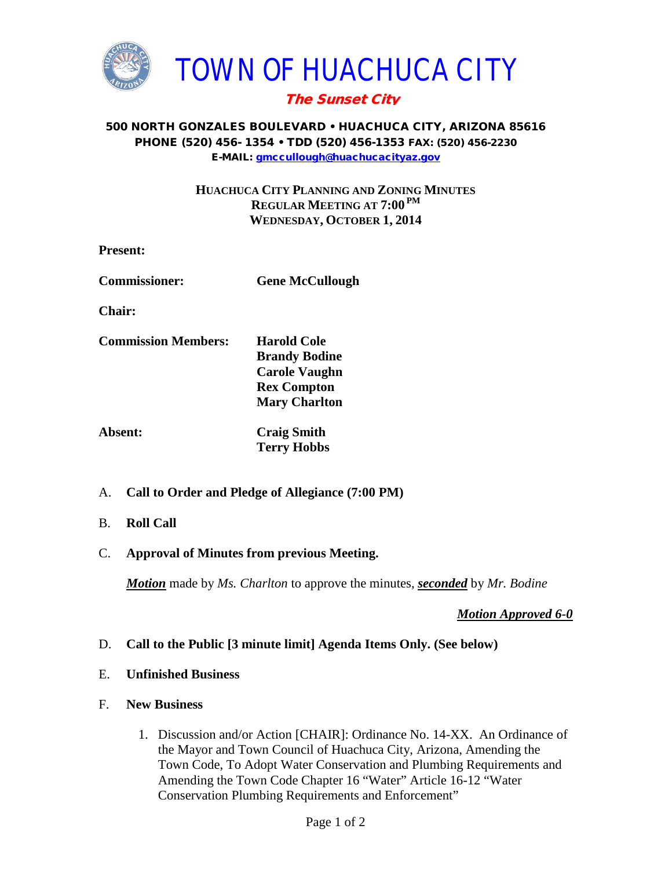

### 500 NORTH GONZALES BOULEVARD • HUACHUCA CITY, ARIZONA 85616 PHONE (520) 456- 1354 • TDD (520) 456-1353 FAX: (520) 456-2230 E-MAIL: [gmccullough@huachucacityaz.gov](mailto:gmccullough@huachucacityaz.gov)

## **HUACHUCA CITY PLANNING AND ZONING MINUTES REGULAR MEETING AT 7:00 PM WEDNESDAY, OCTOBER 1, 2014**

- **Present:**
- **Commissioner: Gene McCullough**

**Chair:**

- **Commission Members: Harold Cole Brandy Bodine Carole Vaughn Rex Compton Mary Charlton**
- **Absent: Craig Smith Terry Hobbs**
- A. **Call to Order and Pledge of Allegiance (7:00 PM)**
- B. **Roll Call**
- C. **Approval of Minutes from previous Meeting.**

*Motion* made by *Ms. Charlton* to approve the minutes, *seconded* by *Mr. Bodine*

*Motion Approved 6-0*

## D. **Call to the Public [3 minute limit] Agenda Items Only. (See below)**

### E. **Unfinished Business**

### F. **New Business**

1. Discussion and/or Action [CHAIR]: Ordinance No. 14-XX. An Ordinance of the Mayor and Town Council of Huachuca City, Arizona, Amending the Town Code, To Adopt Water Conservation and Plumbing Requirements and Amending the Town Code Chapter 16 "Water" Article 16-12 "Water Conservation Plumbing Requirements and Enforcement"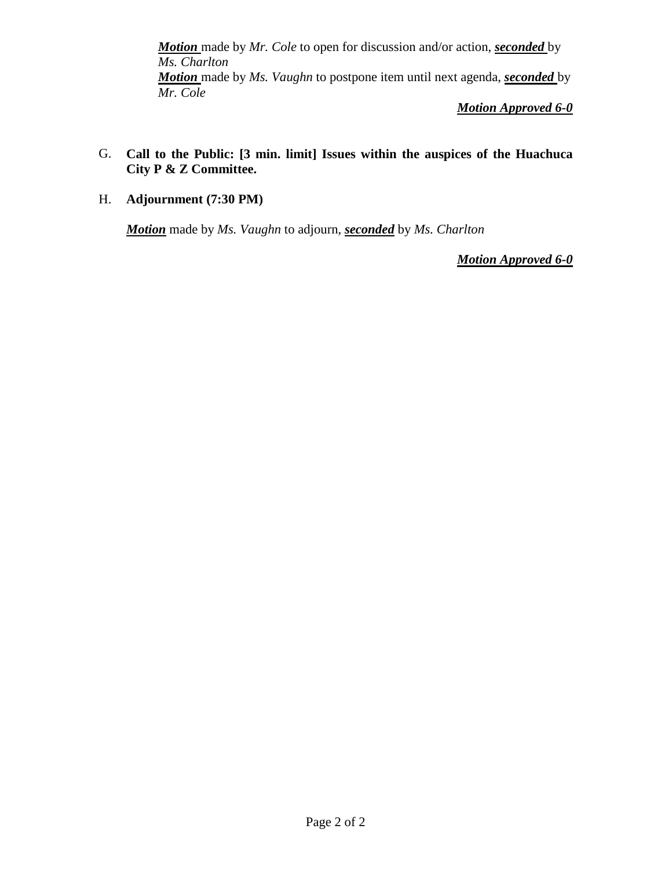*Motion* made by *Mr. Cole* to open for discussion and/or action, *seconded* by *Ms. Charlton Motion* made by *Ms. Vaughn* to postpone item until next agenda, *seconded* by *Mr. Cole*

*Motion Approved 6-0*

- G. **Call to the Public: [3 min. limit] Issues within the auspices of the Huachuca City P & Z Committee.**
- H. **Adjournment (7:30 PM)**

*Motion* made by *Ms. Vaughn* to adjourn, *seconded* by *Ms. Charlton*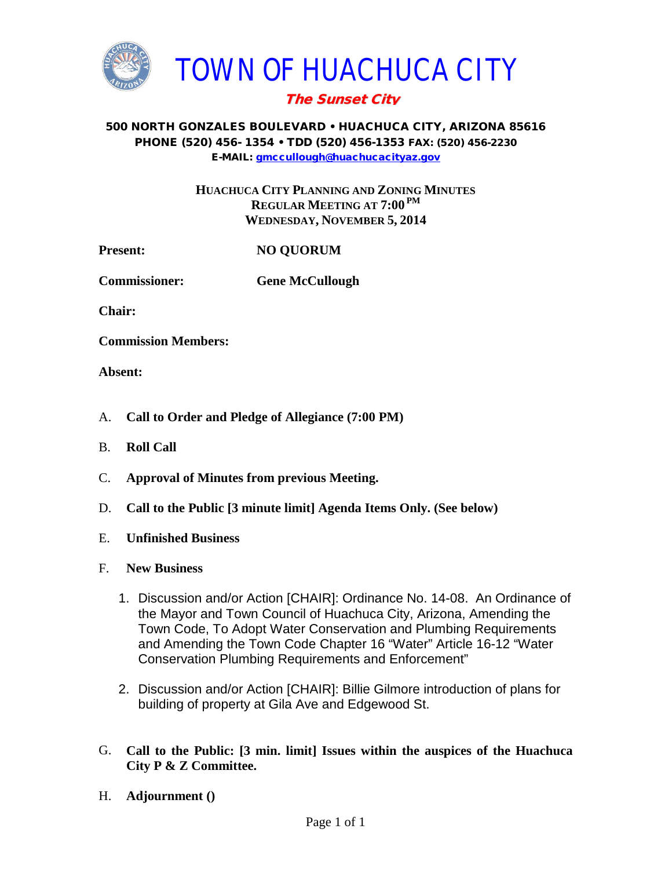

### 500 NORTH GONZALES BOULEVARD • HUACHUCA CITY, ARIZONA 85616 PHONE (520) 456- 1354 • TDD (520) 456-1353 FAX: (520) 456-2230 E-MAIL: [gmccullough@huachucacityaz.gov](mailto:gmccullough@huachucacityaz.gov)

**HUACHUCA CITY PLANNING AND ZONING MINUTES REGULAR MEETING AT 7:00 PM WEDNESDAY, NOVEMBER 5, 2014**

**Present: NO QUORUM**

**Commissioner: Gene McCullough**

**Chair:**

**Commission Members:**

**Absent:**

- A. **Call to Order and Pledge of Allegiance (7:00 PM)**
- B. **Roll Call**
- C. **Approval of Minutes from previous Meeting.**
- D. **Call to the Public [3 minute limit] Agenda Items Only. (See below)**
- E. **Unfinished Business**
- F. **New Business**
	- 1. Discussion and/or Action [CHAIR]: Ordinance No. 14-08. An Ordinance of the Mayor and Town Council of Huachuca City, Arizona, Amending the Town Code, To Adopt Water Conservation and Plumbing Requirements and Amending the Town Code Chapter 16 "Water" Article 16-12 "Water Conservation Plumbing Requirements and Enforcement"
	- 2. Discussion and/or Action [CHAIR]: Billie Gilmore introduction of plans for building of property at Gila Ave and Edgewood St.
- G. **Call to the Public: [3 min. limit] Issues within the auspices of the Huachuca City P & Z Committee.**
- H. **Adjournment ()**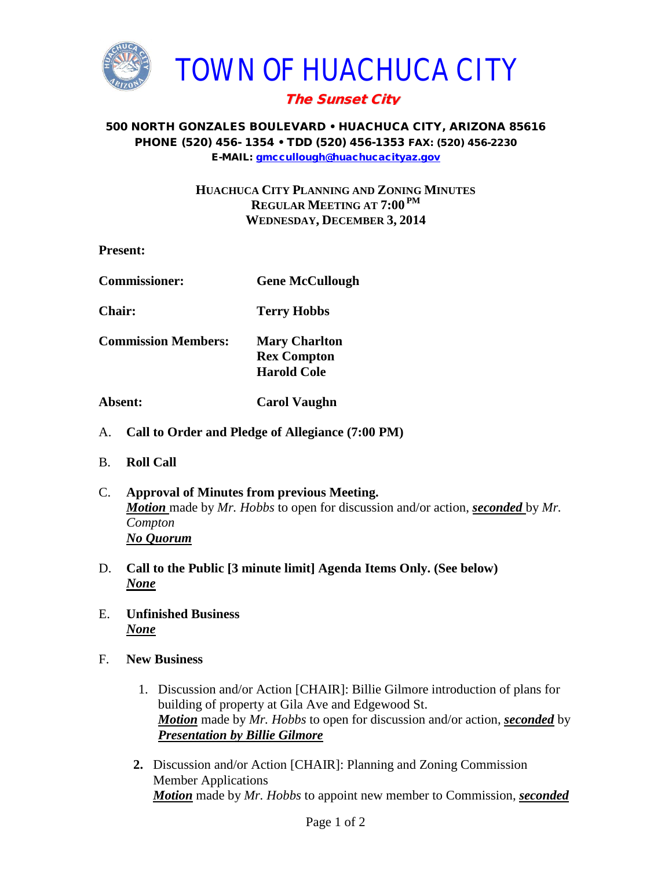

### 500 NORTH GONZALES BOULEVARD • HUACHUCA CITY, ARIZONA 85616 PHONE (520) 456- 1354 • TDD (520) 456-1353 FAX: (520) 456-2230 E-MAIL: [gmccullough@huachucacityaz.gov](mailto:gmccullough@huachucacityaz.gov)

## **HUACHUCA CITY PLANNING AND ZONING MINUTES REGULAR MEETING AT 7:00 PM WEDNESDAY, DECEMBER 3, 2014**

- **Present: Commissioner: Gene McCullough Chair: Terry Hobbs Commission Members: Mary Charlton Rex Compton Harold Cole Absent: Carol Vaughn**
- A. **Call to Order and Pledge of Allegiance (7:00 PM)**
- B. **Roll Call**
- C. **Approval of Minutes from previous Meeting.** *Motion* made by *Mr. Hobbs* to open for discussion and/or action, *seconded* by *Mr. Compton No Quorum*
- D. **Call to the Public [3 minute limit] Agenda Items Only. (See below)** *None*
- E. **Unfinished Business** *None*
- F. **New Business**
	- 1. Discussion and/or Action [CHAIR]: Billie Gilmore introduction of plans for building of property at Gila Ave and Edgewood St. *Motion* made by *Mr. Hobbs* to open for discussion and/or action, *seconded* by *Presentation by Billie Gilmore*
	- **2.** Discussion and/or Action [CHAIR]: Planning and Zoning Commission Member Applications *Motion* made by *Mr. Hobbs* to appoint new member to Commission, *seconded*